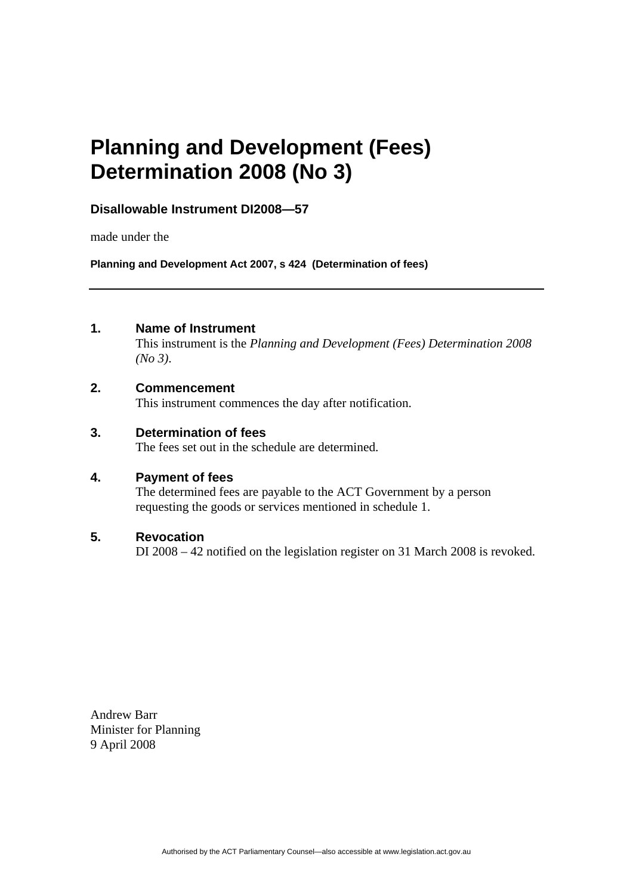# **Planning and Development (Fees) Determination 2008 (No 3)**

## **Disallowable Instrument DI2008—57**

made under the

**Planning and Development Act 2007, s 424 (Determination of fees)**

### **1. Name of Instrument**

This instrument is the *Planning and Development (Fees) Determination 2008 (No 3)*.

#### **2. Commencement**

This instrument commences the day after notification.

#### **3. Determination of fees**

The fees set out in the schedule are determined.

#### **4. Payment of fees**

The determined fees are payable to the ACT Government by a person requesting the goods or services mentioned in schedule 1.

#### **5. Revocation**

DI 2008 – 42 notified on the legislation register on 31 March 2008 is revoked.

Andrew Barr Minister for Planning 9 April 2008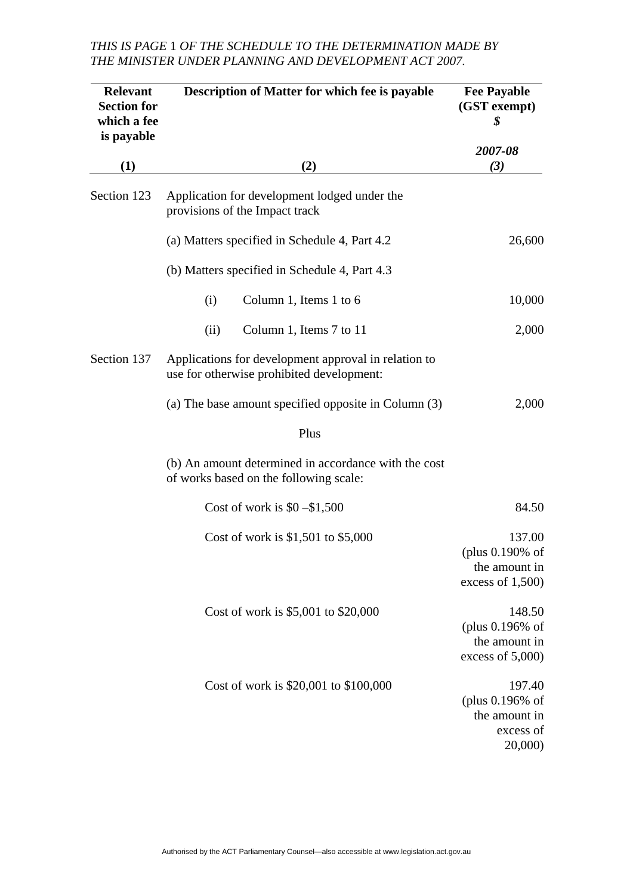# *THIS IS PAGE* 1 *OF THE SCHEDULE TO THE DETERMINATION MADE BY THE MINISTER UNDER PLANNING AND DEVELOPMENT ACT 2007.*

| <b>Relevant</b><br><b>Section for</b><br>which a fee<br>is payable | <b>Description of Matter for which fee is payable</b>                                             | <b>Fee Payable</b><br>(GST exempt)<br>\$                              |
|--------------------------------------------------------------------|---------------------------------------------------------------------------------------------------|-----------------------------------------------------------------------|
| (1)                                                                | (2)                                                                                               | 2007-08<br>(3)                                                        |
| Section 123                                                        | Application for development lodged under the<br>provisions of the Impact track                    |                                                                       |
|                                                                    | (a) Matters specified in Schedule 4, Part 4.2                                                     | 26,600                                                                |
|                                                                    | (b) Matters specified in Schedule 4, Part 4.3                                                     |                                                                       |
|                                                                    | Column 1, Items 1 to 6<br>(i)                                                                     | 10,000                                                                |
|                                                                    | Column 1, Items 7 to 11<br>(ii)                                                                   | 2,000                                                                 |
| Section 137                                                        | Applications for development approval in relation to<br>use for otherwise prohibited development: |                                                                       |
|                                                                    | (a) The base amount specified opposite in Column (3)                                              | 2,000                                                                 |
|                                                                    | Plus                                                                                              |                                                                       |
|                                                                    | (b) An amount determined in accordance with the cost<br>of works based on the following scale:    |                                                                       |
|                                                                    | Cost of work is $$0 - $1,500$                                                                     | 84.50                                                                 |
|                                                                    | Cost of work is $$1,501$ to $$5,000$                                                              | 137.00<br>(plus 0.190% of<br>the amount in<br>excess of $1,500$       |
|                                                                    | Cost of work is \$5,001 to \$20,000                                                               | 148.50<br>(plus 0.196% of<br>the amount in<br>excess of $5,000$       |
|                                                                    | Cost of work is \$20,001 to \$100,000                                                             | 197.40<br>(plus $0.196\%$ of<br>the amount in<br>excess of<br>20,000) |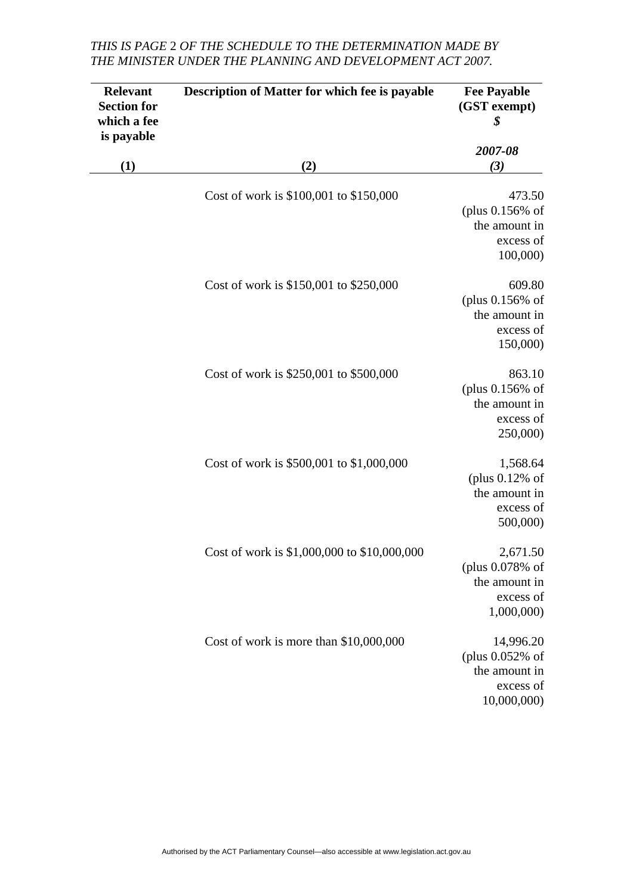# *THIS IS PAGE* 2 *OF THE SCHEDULE TO THE DETERMINATION MADE BY THE MINISTER UNDER THE PLANNING AND DEVELOPMENT ACT 2007.*

| <b>Relevant</b><br><b>Section for</b><br>which a fee<br>is payable<br>(1) | <b>Description of Matter for which fee is payable</b><br>(2) | <b>Fee Payable</b><br>(GST exempt)<br>\$<br>2007-08<br>(3)                   |
|---------------------------------------------------------------------------|--------------------------------------------------------------|------------------------------------------------------------------------------|
|                                                                           |                                                              |                                                                              |
|                                                                           | Cost of work is \$150,001 to \$250,000                       | 609.80<br>(plus $0.156%$ of<br>the amount in<br>excess of<br>150,000)        |
|                                                                           | Cost of work is \$250,001 to \$500,000                       | 863.10<br>(plus $0.156%$ of<br>the amount in<br>excess of<br>250,000)        |
|                                                                           | Cost of work is \$500,001 to \$1,000,000                     | 1,568.64<br>(plus $0.12\%$ of<br>the amount in<br>excess of<br>500,000)      |
|                                                                           | Cost of work is \$1,000,000 to \$10,000,000                  | 2,671.50<br>(plus 0.078% of<br>the amount in<br>excess of<br>1,000,000       |
|                                                                           | Cost of work is more than \$10,000,000                       | 14,996.20<br>(plus $0.052\%$ of<br>the amount in<br>excess of<br>10,000,000) |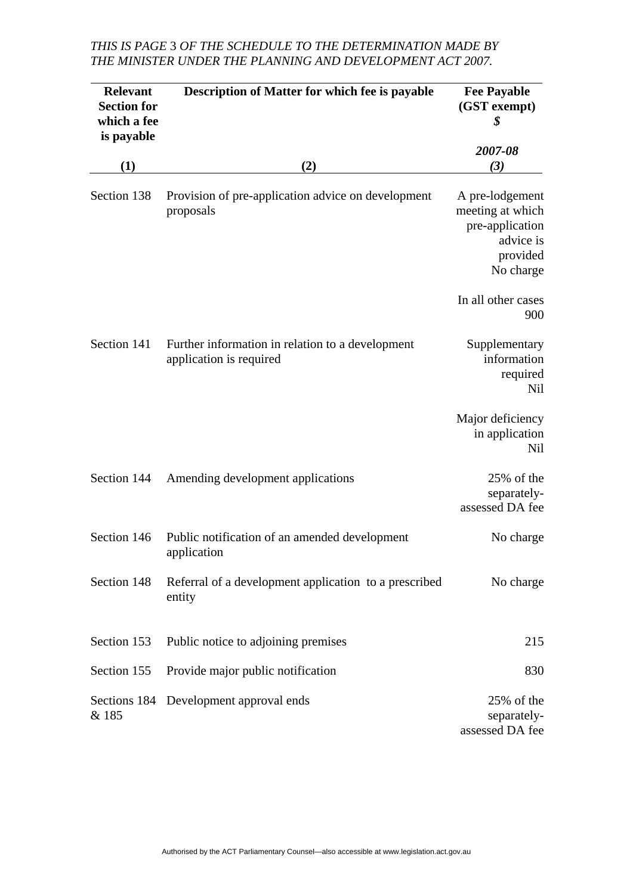# *THIS IS PAGE* 3 *OF THE SCHEDULE TO THE DETERMINATION MADE BY THE MINISTER UNDER THE PLANNING AND DEVELOPMENT ACT 2007.*

| <b>Relevant</b><br><b>Section for</b><br>which a fee<br>is payable | Description of Matter for which fee is payable                              | <b>Fee Payable</b><br>(GST exempt)<br>\$                                                     |
|--------------------------------------------------------------------|-----------------------------------------------------------------------------|----------------------------------------------------------------------------------------------|
| (1)                                                                |                                                                             | 2007-08<br>(3)                                                                               |
|                                                                    | (2)                                                                         |                                                                                              |
| Section 138                                                        | Provision of pre-application advice on development<br>proposals             | A pre-lodgement<br>meeting at which<br>pre-application<br>advice is<br>provided<br>No charge |
|                                                                    |                                                                             | In all other cases<br>900                                                                    |
| Section 141                                                        | Further information in relation to a development<br>application is required | Supplementary<br>information<br>required<br><b>Nil</b>                                       |
|                                                                    |                                                                             | Major deficiency<br>in application<br>Nil                                                    |
| Section 144                                                        | Amending development applications                                           | 25% of the<br>separately-<br>assessed DA fee                                                 |
| Section 146                                                        | Public notification of an amended development<br>application                | No charge                                                                                    |
| Section 148                                                        | Referral of a development application to a prescribed<br>entity             | No charge                                                                                    |
| Section 153                                                        | Public notice to adjoining premises                                         | 215                                                                                          |
| Section 155                                                        | Provide major public notification                                           | 830                                                                                          |
| & 185                                                              | Sections 184 Development approval ends                                      | 25% of the<br>separately-<br>assessed DA fee                                                 |